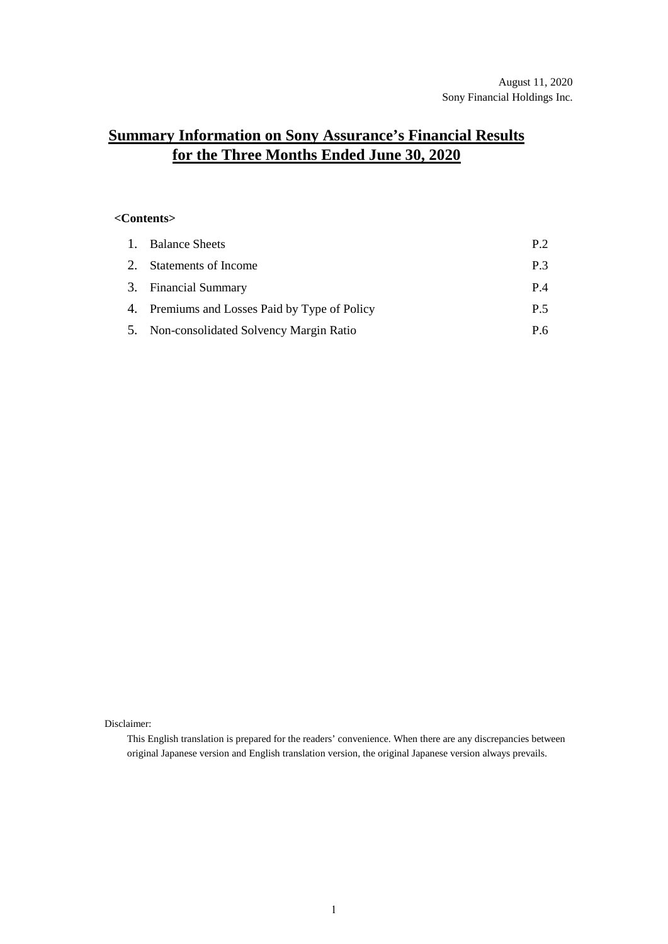# **Summary Information on Sony Assurance's Financial Results for the Three Months Ended June 30, 2020**

### **<Contents>**

| 1. Balance Sheets                             | P <sub>2</sub> |
|-----------------------------------------------|----------------|
| 2. Statements of Income                       | P <sub>3</sub> |
| 3. Financial Summary                          | P 4            |
| 4. Premiums and Losses Paid by Type of Policy | P 5            |
| 5. Non-consolidated Solvency Margin Ratio     | P 6            |

Disclaimer:

This English translation is prepared for the readers' convenience. When there are any discrepancies between original Japanese version and English translation version, the original Japanese version always prevails.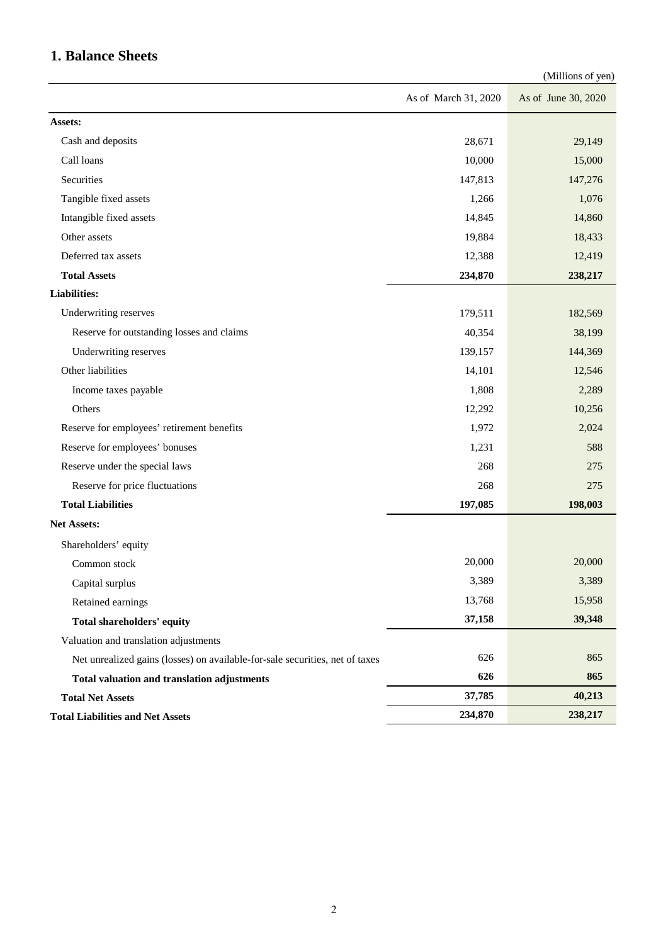## **1. Balance Sheets**

|                                                                              |                      | (Millions of yen)   |
|------------------------------------------------------------------------------|----------------------|---------------------|
|                                                                              | As of March 31, 2020 | As of June 30, 2020 |
| Assets:                                                                      |                      |                     |
| Cash and deposits                                                            | 28,671               | 29,149              |
| Call loans                                                                   | 10,000               | 15,000              |
| Securities                                                                   | 147,813              | 147,276             |
| Tangible fixed assets                                                        | 1,266                | 1,076               |
| Intangible fixed assets                                                      | 14,845               | 14,860              |
| Other assets                                                                 | 19,884               | 18,433              |
| Deferred tax assets                                                          | 12,388               | 12,419              |
| <b>Total Assets</b>                                                          | 234,870              | 238,217             |
| <b>Liabilities:</b>                                                          |                      |                     |
| Underwriting reserves                                                        | 179,511              | 182,569             |
| Reserve for outstanding losses and claims                                    | 40,354               | 38,199              |
| Underwriting reserves                                                        | 139,157              | 144,369             |
| Other liabilities                                                            | 14,101               | 12,546              |
| Income taxes payable                                                         | 1,808                | 2,289               |
| Others                                                                       | 12,292               | 10,256              |
| Reserve for employees' retirement benefits                                   | 1,972                | 2,024               |
| Reserve for employees' bonuses                                               | 1,231                | 588                 |
| Reserve under the special laws                                               | 268                  | 275                 |
| Reserve for price fluctuations                                               | 268                  | 275                 |
| <b>Total Liabilities</b>                                                     | 197,085              | 198,003             |
| <b>Net Assets:</b>                                                           |                      |                     |
| Shareholders' equity                                                         |                      |                     |
| Common stock                                                                 | 20,000               | 20,000              |
| Capital surplus                                                              | 3,389                | 3,389               |
| Retained earnings                                                            | 13,768               | 15,958              |
| Total shareholders' equity                                                   | 37,158               | 39,348              |
| Valuation and translation adjustments                                        |                      |                     |
| Net unrealized gains (losses) on available-for-sale securities, net of taxes | 626                  | 865                 |
| Total valuation and translation adjustments                                  | 626                  | 865                 |
| <b>Total Net Assets</b>                                                      | 37,785               | 40,213              |
| <b>Total Liabilities and Net Assets</b>                                      | 234,870              | 238,217             |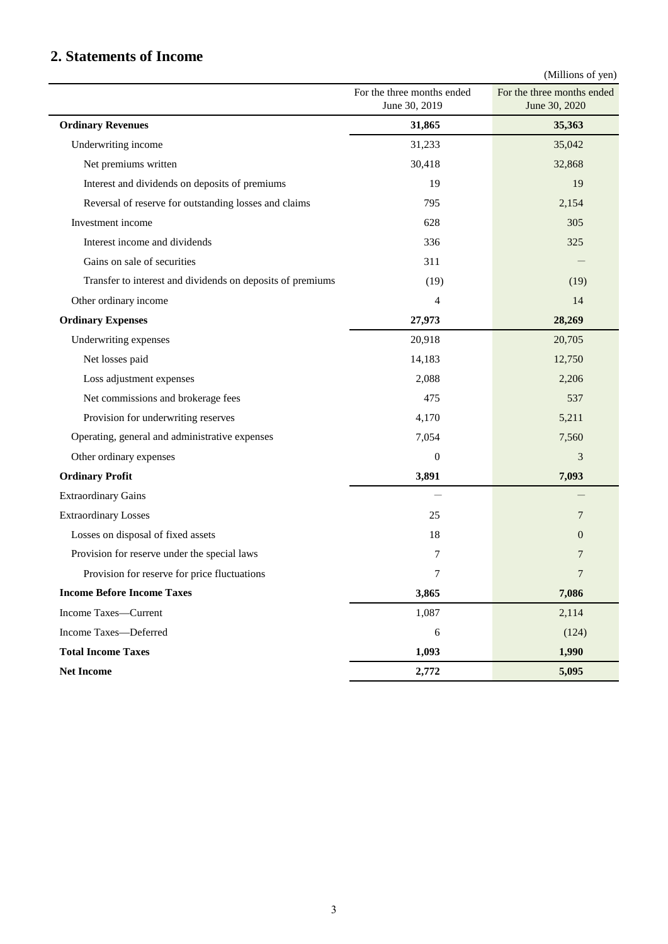## **2. Statements of Income**

(Millions of yen)

|                                                            | For the three months ended<br>June 30, 2019 | $($ winnons or yen $)$<br>For the three months ended<br>June 30, 2020 |
|------------------------------------------------------------|---------------------------------------------|-----------------------------------------------------------------------|
| <b>Ordinary Revenues</b>                                   | 31,865                                      | 35,363                                                                |
| Underwriting income                                        | 31,233                                      | 35,042                                                                |
| Net premiums written                                       | 30,418                                      | 32,868                                                                |
| Interest and dividends on deposits of premiums             | 19                                          | 19                                                                    |
| Reversal of reserve for outstanding losses and claims      | 795                                         | 2,154                                                                 |
| Investment income                                          | 628                                         | 305                                                                   |
| Interest income and dividends                              | 336                                         | 325                                                                   |
| Gains on sale of securities                                | 311                                         |                                                                       |
| Transfer to interest and dividends on deposits of premiums | (19)                                        | (19)                                                                  |
| Other ordinary income                                      | 4                                           | 14                                                                    |
| <b>Ordinary Expenses</b>                                   | 27,973                                      | 28,269                                                                |
| Underwriting expenses                                      | 20,918                                      | 20,705                                                                |
| Net losses paid                                            | 14,183                                      | 12,750                                                                |
| Loss adjustment expenses                                   | 2,088                                       | 2,206                                                                 |
| Net commissions and brokerage fees                         | 475                                         | 537                                                                   |
| Provision for underwriting reserves                        | 4,170                                       | 5,211                                                                 |
| Operating, general and administrative expenses             | 7,054                                       | 7,560                                                                 |
| Other ordinary expenses                                    | $\boldsymbol{0}$                            | 3                                                                     |
| <b>Ordinary Profit</b>                                     | 3,891                                       | 7,093                                                                 |
| <b>Extraordinary Gains</b>                                 |                                             |                                                                       |
| <b>Extraordinary Losses</b>                                | 25                                          | 7                                                                     |
| Losses on disposal of fixed assets                         | 18                                          | $\boldsymbol{0}$                                                      |
| Provision for reserve under the special laws               | 7                                           | 7                                                                     |
| Provision for reserve for price fluctuations               | 7                                           | 7                                                                     |
| <b>Income Before Income Taxes</b>                          | 3,865                                       | 7,086                                                                 |
| Income Taxes-Current                                       | 1,087                                       | 2,114                                                                 |
| Income Taxes-Deferred                                      | $\boldsymbol{6}$                            | (124)                                                                 |
| <b>Total Income Taxes</b>                                  | 1,093                                       | 1,990                                                                 |
| <b>Net Income</b>                                          | 2,772                                       | 5,095                                                                 |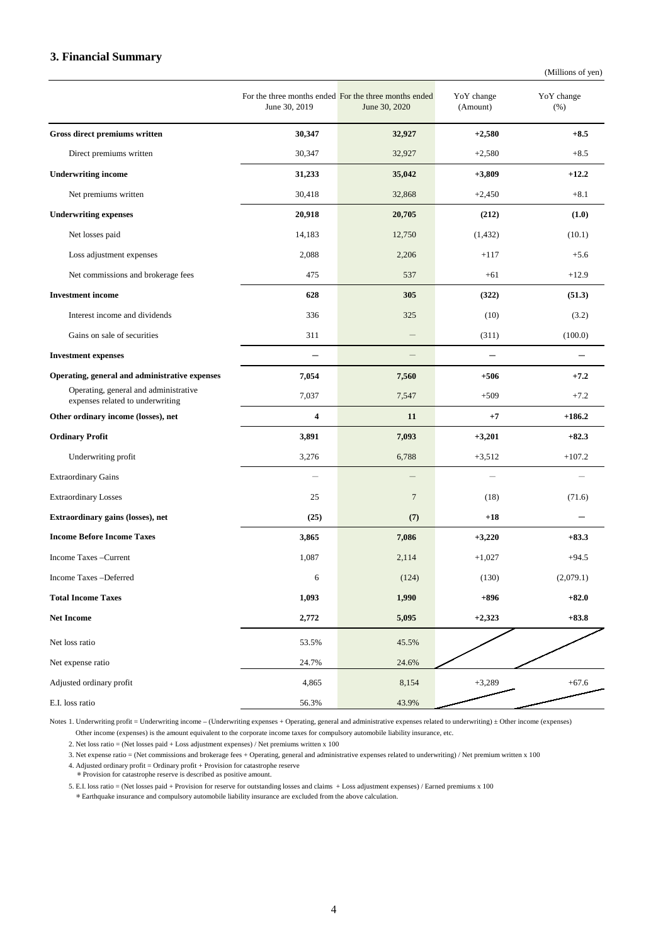#### **3. Financial Summary**

(Millions of yen)

|                                                                           | June 30, 2019 | For the three months ended For the three months ended<br>June 30, 2020 | YoY change<br>(Amount)   | YoY change<br>(% ) |
|---------------------------------------------------------------------------|---------------|------------------------------------------------------------------------|--------------------------|--------------------|
| Gross direct premiums written                                             | 30,347        | 32,927                                                                 | $+2,580$                 | $+8.5$             |
| Direct premiums written                                                   | 30,347        | 32,927                                                                 | $+2,580$                 | $+8.5$             |
| <b>Underwriting income</b>                                                | 31,233        | 35,042                                                                 | $+3,809$                 | $+12.2$            |
| Net premiums written                                                      | 30,418        | 32,868                                                                 | $+2,450$                 | $+8.1$             |
| <b>Underwriting expenses</b>                                              | 20,918        | 20,705                                                                 | (212)                    | (1.0)              |
| Net losses paid                                                           | 14,183        | 12,750                                                                 | (1, 432)                 | (10.1)             |
| Loss adjustment expenses                                                  | 2,088         | 2,206                                                                  | $+117$                   | $+5.6$             |
| Net commissions and brokerage fees                                        | 475           | 537                                                                    | $+61$                    | $+12.9$            |
| <b>Investment</b> income                                                  | 628           | 305                                                                    | (322)                    | (51.3)             |
| Interest income and dividends                                             | 336           | 325                                                                    | (10)                     | (3.2)              |
| Gains on sale of securities                                               | 311           |                                                                        | (311)                    | (100.0)            |
| <b>Investment expenses</b>                                                |               |                                                                        |                          |                    |
| Operating, general and administrative expenses                            | 7,054         | 7,560                                                                  | $+506$                   | $+7.2$             |
| Operating, general and administrative<br>expenses related to underwriting | 7,037         | 7,547                                                                  | $+509$                   | $+7.2$             |
| Other ordinary income (losses), net                                       | 4             | 11                                                                     | $+7$                     | $+186.2$           |
| <b>Ordinary Profit</b>                                                    | 3,891         | 7,093                                                                  | $+3,201$                 | $+82.3$            |
| Underwriting profit                                                       | 3,276         | 6,788                                                                  | $+3,512$                 | $+107.2$           |
| <b>Extraordinary Gains</b>                                                |               |                                                                        | $\overline{\phantom{0}}$ |                    |
| <b>Extraordinary Losses</b>                                               | 25            | $\overline{7}$                                                         | (18)                     | (71.6)             |
| Extraordinary gains (losses), net                                         | (25)          | (7)                                                                    | $+18$                    |                    |
| <b>Income Before Income Taxes</b>                                         | 3,865         | 7,086                                                                  | $+3,220$                 | $+83.3$            |
| Income Taxes - Current                                                    | 1,087         | 2,114                                                                  | $+1,027$                 | $+94.5$            |
| Income Taxes-Deferred                                                     | 6             | (124)                                                                  | (130)                    | (2,079.1)          |
| <b>Total Income Taxes</b>                                                 | 1,093         | 1,990                                                                  | $+896$                   | $+82.0$            |
| <b>Net Income</b>                                                         | 2,772         | 5,095                                                                  | $+2,323$                 | $+83.8$            |
| Net loss ratio                                                            | 53.5%         | 45.5%                                                                  |                          |                    |
| Net expense ratio                                                         | 24.7%         | 24.6%                                                                  |                          |                    |
| Adjusted ordinary profit                                                  | 4,865         | 8,154                                                                  | $+3,289$                 | $+67.6$            |
| E.I. loss ratio                                                           | 56.3%         | 43.9%                                                                  |                          |                    |

Notes 1. Underwriting profit = Underwriting income – (Underwriting expenses + Operating, general and administrative expenses related to underwriting)  $\pm$  Other income (expenses) Other income (expenses) is the amount equivalent to the corporate income taxes for compulsory automobile liability insurance, etc.

2. Net loss ratio = (Net losses paid + Loss adjustment expenses) / Net premiums written x 100

3. Net expense ratio = (Net commissions and brokerage fees + Operating, general and administrative expenses related to underwriting) / Net premium written x 100

4. Adjusted ordinary profit = Ordinary profit + Provision for catastrophe reserve \*Provision for catastrophe reserve is described as positive amount.

5. E.I. loss ratio = (Net losses paid + Provision for reserve for outstanding losses and claims + Loss adjustment expenses) / Earned premiums x 100 \*Earthquake insurance and compulsory automobile liability insurance are excluded from the above calculation.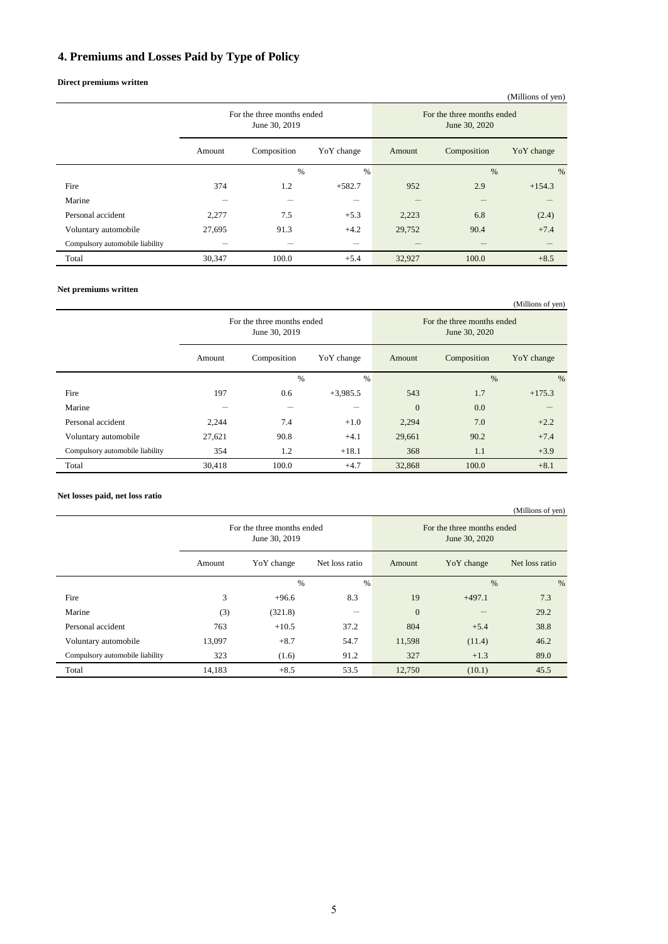## **4. Premiums and Losses Paid by Type of Policy**

#### **Direct premiums written**

|                                 | For the three months ended<br>June 30, 2019 |             | $\sqrt{2}$<br>For the three months ended<br>June 30, 2020 |        |             |            |
|---------------------------------|---------------------------------------------|-------------|-----------------------------------------------------------|--------|-------------|------------|
|                                 | Amount                                      | Composition | YoY change                                                | Amount | Composition | YoY change |
|                                 |                                             | %           | $\%$                                                      |        | %           | $\%$       |
| Fire                            | 374                                         | 1.2         | $+582.7$                                                  | 952    | 2.9         | $+154.3$   |
| Marine                          |                                             | –           |                                                           |        |             |            |
| Personal accident               | 2,277                                       | 7.5         | $+5.3$                                                    | 2,223  | 6.8         | (2.4)      |
| Voluntary automobile            | 27,695                                      | 91.3        | $+4.2$                                                    | 29,752 | 90.4        | $+7.4$     |
| Compulsory automobile liability |                                             |             | -                                                         |        |             |            |
| Total                           | 30,347                                      | 100.0       | $+5.4$                                                    | 32,927 | 100.0       | $+8.5$     |

#### **Net premiums written**

|                                 |                                             |             |            |                                             |             | (Millions of yen) |
|---------------------------------|---------------------------------------------|-------------|------------|---------------------------------------------|-------------|-------------------|
|                                 | For the three months ended<br>June 30, 2019 |             |            | For the three months ended<br>June 30, 2020 |             |                   |
|                                 | Amount                                      | Composition | YoY change | Amount                                      | Composition | YoY change        |
|                                 |                                             | %           | $\%$       |                                             | $\%$        | %                 |
| Fire                            | 197                                         | 0.6         | $+3,985.5$ | 543                                         | 1.7         | $+175.3$          |
| Marine                          |                                             | –           | –          | $\overline{0}$                              | 0.0         |                   |
| Personal accident               | 2,244                                       | 7.4         | $+1.0$     | 2,294                                       | 7.0         | $+2.2$            |
| Voluntary automobile            | 27,621                                      | 90.8        | $+4.1$     | 29,661                                      | 90.2        | $+7.4$            |
| Compulsory automobile liability | 354                                         | 1.2         | $+18.1$    | 368                                         | 1.1         | $+3.9$            |
| Total                           | 30,418                                      | 100.0       | $+4.7$     | 32,868                                      | 100.0       | $+8.1$            |

#### **Net losses paid, net loss ratio**

|                                 |                                             |            |                |                                             |            | (Millions of yen) |
|---------------------------------|---------------------------------------------|------------|----------------|---------------------------------------------|------------|-------------------|
|                                 | For the three months ended<br>June 30, 2019 |            |                | For the three months ended<br>June 30, 2020 |            |                   |
|                                 | Amount                                      | YoY change | Net loss ratio | Amount                                      | YoY change | Net loss ratio    |
|                                 |                                             | %          | $\%$           |                                             | %          | $\%$              |
| Fire                            | 3                                           | $+96.6$    | 8.3            | 19                                          | $+497.1$   | 7.3               |
| Marine                          | (3)                                         | (321.8)    | –              | $\overline{0}$                              |            | 29.2              |
| Personal accident               | 763                                         | $+10.5$    | 37.2           | 804                                         | $+5.4$     | 38.8              |
| Voluntary automobile            | 13,097                                      | $+8.7$     | 54.7           | 11,598                                      | (11.4)     | 46.2              |
| Compulsory automobile liability | 323                                         | (1.6)      | 91.2           | 327                                         | $+1.3$     | 89.0              |
| Total                           | 14,183                                      | $+8.5$     | 53.5           | 12,750                                      | (10.1)     | 45.5              |

#### (Millions of yen)